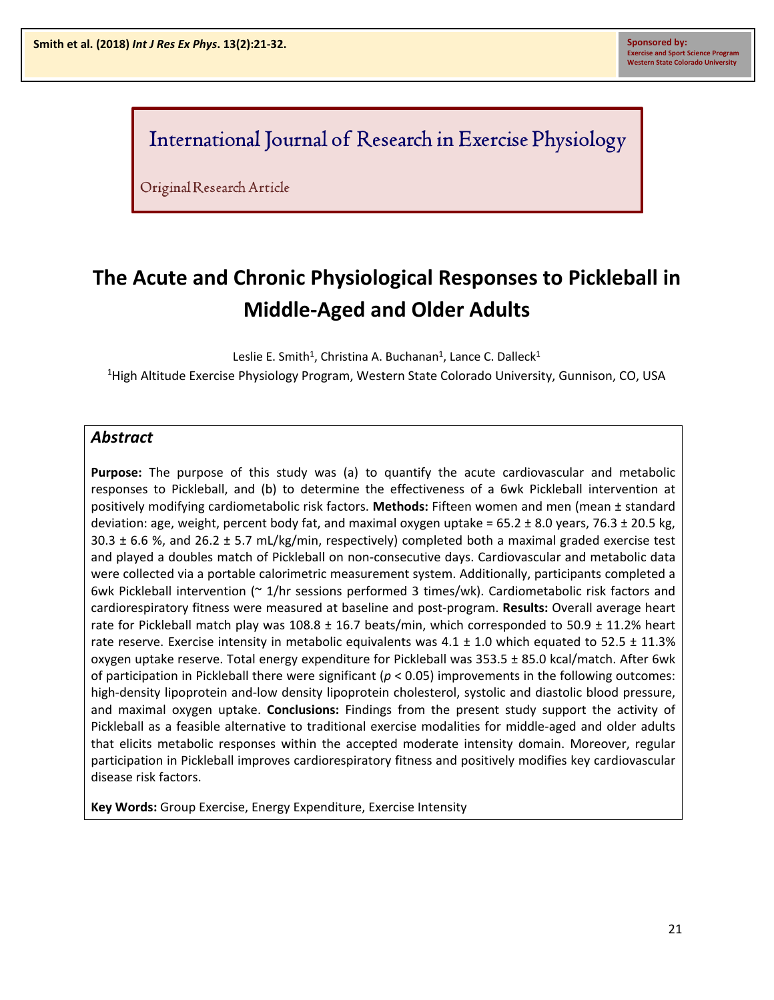## International Journal of Research in Exercise Physiology

Original Research Article

# **The Acute and Chronic Physiological Responses to Pickleball in Middle-Aged and Older Adults**

Leslie E. Smith<sup>1</sup>, Christina A. Buchanan<sup>1</sup>, Lance C. Dalleck<sup>1</sup>

<sup>1</sup>High Altitude Exercise Physiology Program, Western State Colorado University, Gunnison, CO, USA

## *Abstract*

**Purpose:** The purpose of this study was (a) to quantify the acute cardiovascular and metabolic responses to Pickleball, and (b) to determine the effectiveness of a 6wk Pickleball intervention at positively modifying cardiometabolic risk factors. **Methods:** Fifteen women and men (mean ± standard deviation: age, weight, percent body fat, and maximal oxygen uptake =  $65.2 \pm 8.0$  years, 76.3  $\pm$  20.5 kg, 30.3  $\pm$  6.6 %, and 26.2  $\pm$  5.7 mL/kg/min, respectively) completed both a maximal graded exercise test and played a doubles match of Pickleball on non-consecutive days. Cardiovascular and metabolic data were collected via a portable calorimetric measurement system. Additionally, participants completed a 6wk Pickleball intervention (~ 1/hr sessions performed 3 times/wk). Cardiometabolic risk factors and cardiorespiratory fitness were measured at baseline and post-program. **Results:** Overall average heart rate for Pickleball match play was 108.8 ± 16.7 beats/min, which corresponded to 50.9 ± 11.2% heart rate reserve. Exercise intensity in metabolic equivalents was  $4.1 \pm 1.0$  which equated to 52.5  $\pm$  11.3% oxygen uptake reserve. Total energy expenditure for Pickleball was  $353.5 \pm 85.0$  kcal/match. After 6wk of participation in Pickleball there were significant (*p* < 0.05) improvements in the following outcomes: high-density lipoprotein and-low density lipoprotein cholesterol, systolic and diastolic blood pressure, and maximal oxygen uptake. **Conclusions:** Findings from the present study support the activity of Pickleball as a feasible alternative to traditional exercise modalities for middle-aged and older adults that elicits metabolic responses within the accepted moderate intensity domain. Moreover, regular participation in Pickleball improves cardiorespiratory fitness and positively modifies key cardiovascular disease risk factors.

**Key Words:** Group Exercise, Energy Expenditure, Exercise Intensity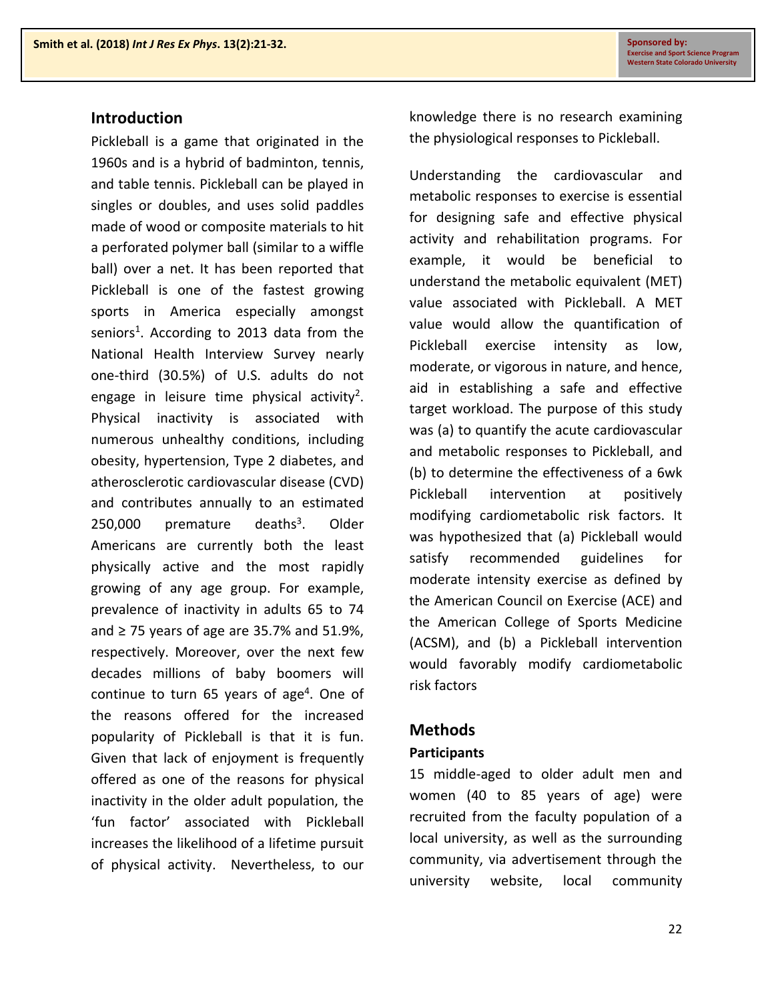## **Introduction**

Pickleball is a game that originated in the 1960s and is a hybrid of badminton, tennis, and table tennis. Pickleball can be played in singles or doubles, and uses solid paddles made of wood or composite materials to hit a perforated polymer ball (similar to a wiffle ball) over a net. It has been reported that Pickleball is one of the fastest growing sports in America especially amongst seniors<sup>1</sup>. According to 2013 data from the National Health Interview Survey nearly one-third (30.5%) of U.S. adults do not engage in leisure time physical activity<sup>2</sup>. Physical inactivity is associated with numerous unhealthy conditions, including obesity, hypertension, Type 2 diabetes, and atherosclerotic cardiovascular disease (CVD) and contributes annually to an estimated  $250,000$  premature deaths<sup>3</sup>. . Older Americans are currently both the least physically active and the most rapidly growing of any age group. For example, prevalence of inactivity in adults 65 to 74 and  $\geq$  75 years of age are 35.7% and 51.9%, respectively. Moreover, over the next few decades millions of baby boomers will continue to turn 65 years of age<sup>4</sup>. One of the reasons offered for the increased popularity of Pickleball is that it is fun. Given that lack of enjoyment is frequently offered as one of the reasons for physical inactivity in the older adult population, the 'fun factor' associated with Pickleball increases the likelihood of a lifetime pursuit of physical activity. Nevertheless, to our

knowledge there is no research examining the physiological responses to Pickleball.

Understanding the cardiovascular and metabolic responses to exercise is essential for designing safe and effective physical activity and rehabilitation programs. For example, it would be beneficial to understand the metabolic equivalent (MET) value associated with Pickleball. A MET value would allow the quantification of Pickleball exercise intensity as low, moderate, or vigorous in nature, and hence, aid in establishing a safe and effective target workload. The purpose of this study was (a) to quantify the acute cardiovascular and metabolic responses to Pickleball, and (b) to determine the effectiveness of a 6wk Pickleball intervention at positively modifying cardiometabolic risk factors. It was hypothesized that (a) Pickleball would satisfy recommended guidelines for moderate intensity exercise as defined by the American Council on Exercise (ACE) and the American College of Sports Medicine (ACSM), and (b) a Pickleball intervention would favorably modify cardiometabolic risk factors

## **Methods**

#### **Participants**

15 middle-aged to older adult men and women (40 to 85 years of age) were recruited from the faculty population of a local university, as well as the surrounding community, via advertisement through the university website, local community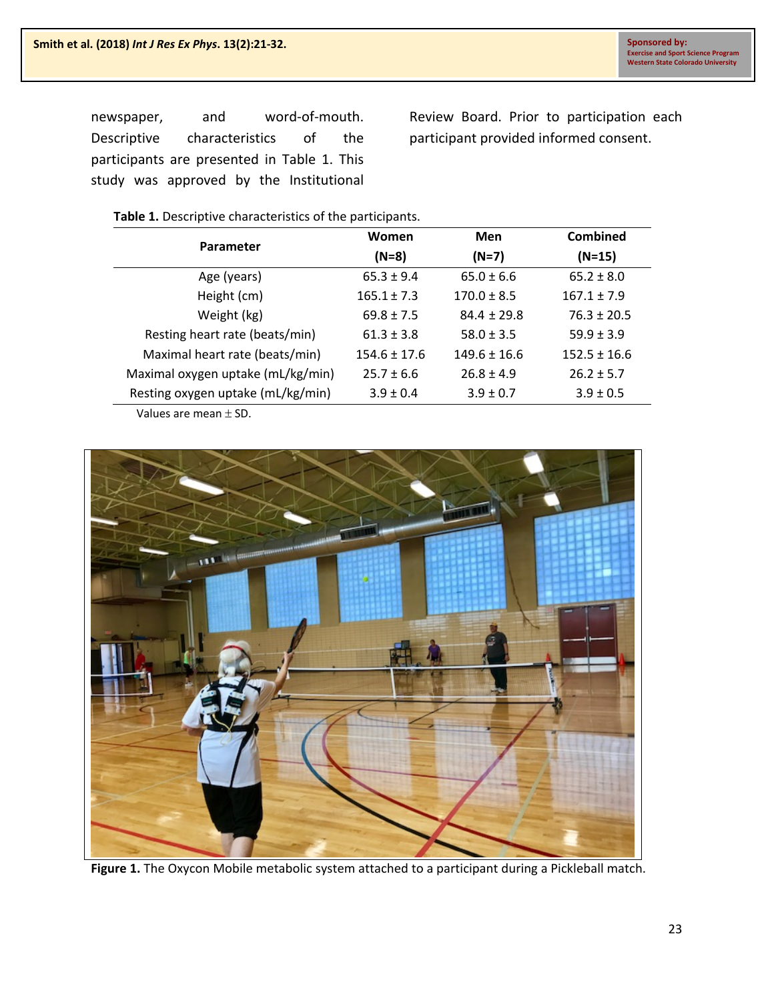newspaper, and word-of-mouth. Descriptive characteristics of the participants are presented in Table 1. This study was approved by the Institutional Review Board. Prior to participation each participant provided informed consent.

**Table 1.** Descriptive characteristics of the participants.

|                                   | Women            | Men              | Combined         |
|-----------------------------------|------------------|------------------|------------------|
| Parameter                         | $(N=8)$          | $(N=7)$          | $(N=15)$         |
| Age (years)                       | $65.3 \pm 9.4$   | $65.0 \pm 6.6$   | $65.2 \pm 8.0$   |
| Height (cm)                       | $165.1 \pm 7.3$  | $170.0 \pm 8.5$  | $167.1 \pm 7.9$  |
| Weight (kg)                       | $69.8 \pm 7.5$   | $84.4 \pm 29.8$  | $76.3 \pm 20.5$  |
| Resting heart rate (beats/min)    | $61.3 \pm 3.8$   | $58.0 \pm 3.5$   | $59.9 \pm 3.9$   |
| Maximal heart rate (beats/min)    | $154.6 \pm 17.6$ | $149.6 \pm 16.6$ | $152.5 \pm 16.6$ |
| Maximal oxygen uptake (mL/kg/min) | $25.7 \pm 6.6$   | $26.8 \pm 4.9$   | $26.2 \pm 5.7$   |
| Resting oxygen uptake (mL/kg/min) | $3.9 \pm 0.4$    | $3.9 \pm 0.7$    | $3.9 \pm 0.5$    |

Values are mean ± SD.



Figure 1. The Oxycon Mobile metabolic system attached to a participant during a Pickleball match.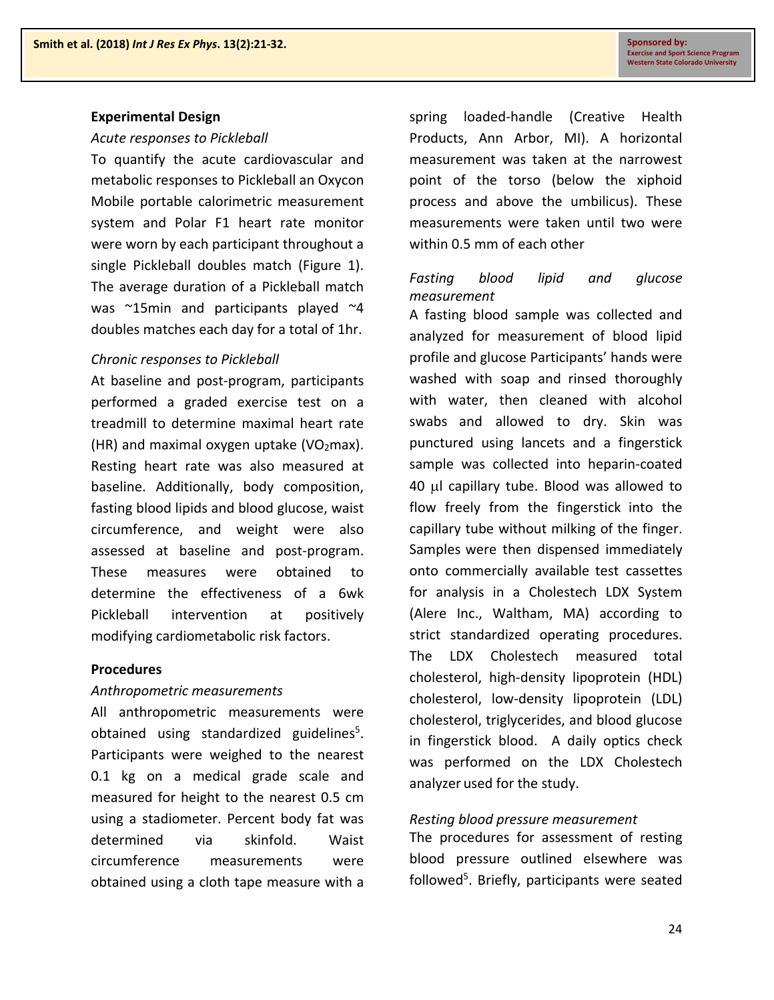#### **Experimental Design**

#### *Acute responses to Pickleball*

To quantify the acute cardiovascular and metabolic responses to Pickleball an Oxycon Mobile portable calorimetric measurement system and Polar F1 heart rate monitor were worn by each participant throughout a single Pickleball doubles match (Figure 1). The average duration of a Pickleball match was ~15min and participants played ~4 doubles matches each day for a total of 1hr.

#### *Chronic responses to Pickleball*

At baseline and post-program, participants performed a graded exercise test on a treadmill to determine maximal heart rate (HR) and maximal oxygen uptake (VO $_2$ max). Resting heart rate was also measured at baseline. Additionally, body composition, fasting blood lipids and blood glucose, waist circumference, and weight were also assessed at baseline and post-program. These measures were obtained to determine the effectiveness of a 6wk Pickleball intervention at positively modifying cardiometabolic risk factors.

#### **Procedures**

#### *Anthropometric measurements*

All anthropometric measurements were obtained using standardized guidelines<sup>5</sup>. Participants were weighed to the nearest 0.1 kg on a medical grade scale and measured for height to the nearest 0.5 cm using a stadiometer. Percent body fat was determined via skinfold. Waist circumference measurements were obtained using a cloth tape measure with a

spring loaded-handle (Creative Health Products, Ann Arbor, MI). A horizontal measurement was taken at the narrowest point of the torso (below the xiphoid process and above the umbilicus). These measurements were taken until two were within 0.5 mm of each other

## *Fasting blood lipid and glucose measurement*

A fasting blood sample was collected and analyzed for measurement of blood lipid profile and glucose Participants' hands were washed with soap and rinsed thoroughly with water, then cleaned with alcohol swabs and allowed to dry. Skin was punctured using lancets and a fingerstick sample was collected into heparin-coated 40 µl capillary tube. Blood was allowed to flow freely from the fingerstick into the capillary tube without milking of the finger. Samples were then dispensed immediately onto commercially available test cassettes for analysis in a Cholestech LDX System (Alere Inc., Waltham, MA) according to strict standardized operating procedures. The LDX Cholestech measured total cholesterol, high-density lipoprotein (HDL) cholesterol, low-density lipoprotein (LDL) cholesterol, triglycerides, and blood glucose in fingerstick blood. A daily optics check was performed on the LDX Cholestech analyzer used for the study.

#### *Resting blood pressure measurement*

The procedures for assessment of resting blood pressure outlined elsewhere was followed<sup>5</sup>. Briefly, participants were seated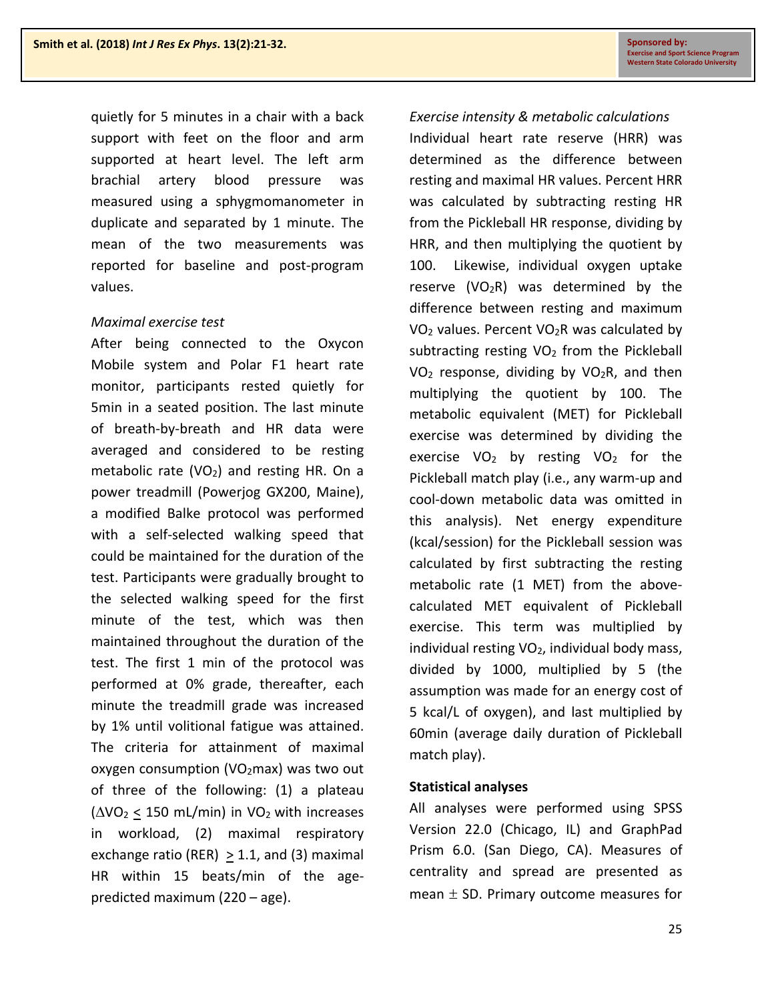quietly for 5 minutes in a chair with a back support with feet on the floor and arm supported at heart level. The left arm brachial artery blood pressure was measured using a sphygmomanometer in duplicate and separated by 1 minute. The mean of the two measurements was reported for baseline and post-program values.

### *Maximal exercise test*

After being connected to the Oxycon Mobile system and Polar F1 heart rate monitor, participants rested quietly for 5min in a seated position. The last minute of breath-by-breath and HR data were averaged and considered to be resting metabolic rate (VO<sub>2</sub>) and resting HR. On a power treadmill (Powerjog GX200, Maine), a modified Balke protocol was performed with a self-selected walking speed that could be maintained for the duration of the test. Participants were gradually brought to the selected walking speed for the first minute of the test, which was then maintained throughout the duration of the test. The first 1 min of the protocol was performed at 0% grade, thereafter, each minute the treadmill grade was increased by 1% until volitional fatigue was attained. The criteria for attainment of maximal oxygen consumption (VO<sub>2</sub>max) was two out of three of the following: (1) a plateau (∆VO2 < 150 mL/min) in VO2 with increases in workload, (2) maximal respiratory exchange ratio (RER)  $> 1.1$ , and (3) maximal HR within 15 beats/min of the agepredicted maximum (220 – age).

*Exercise intensity & metabolic calculations* Individual heart rate reserve (HRR) was determined as the difference between resting and maximal HR values. Percent HRR was calculated by subtracting resting HR from the Pickleball HR response, dividing by HRR, and then multiplying the quotient by 100. Likewise, individual oxygen uptake reserve (VO<sub>2</sub>R) was determined by the difference between resting and maximum VO2 values. Percent VO2R was calculated by subtracting resting  $VO<sub>2</sub>$  from the Pickleball  $VO<sub>2</sub>$  response, dividing by  $VO<sub>2</sub>R$ , and then multiplying the quotient by 100. The metabolic equivalent (MET) for Pickleball exercise was determined by dividing the exercise  $VO<sub>2</sub>$  by resting  $VO<sub>2</sub>$  for the Pickleball match play (i.e., any warm-up and cool-down metabolic data was omitted in this analysis). Net energy expenditure (kcal/session) for the Pickleball session was calculated by first subtracting the resting metabolic rate (1 MET) from the abovecalculated MET equivalent of Pickleball exercise. This term was multiplied by individual resting  $VO<sub>2</sub>$ , individual body mass, divided by 1000, multiplied by 5 (the assumption was made for an energy cost of 5 kcal/L of oxygen), and last multiplied by 60min (average daily duration of Pickleball match play).

#### **Statistical analyses**

All analyses were performed using SPSS Version 22.0 (Chicago, IL) and GraphPad Prism 6.0. (San Diego, CA). Measures of centrality and spread are presented as mean  $\pm$  SD. Primary outcome measures for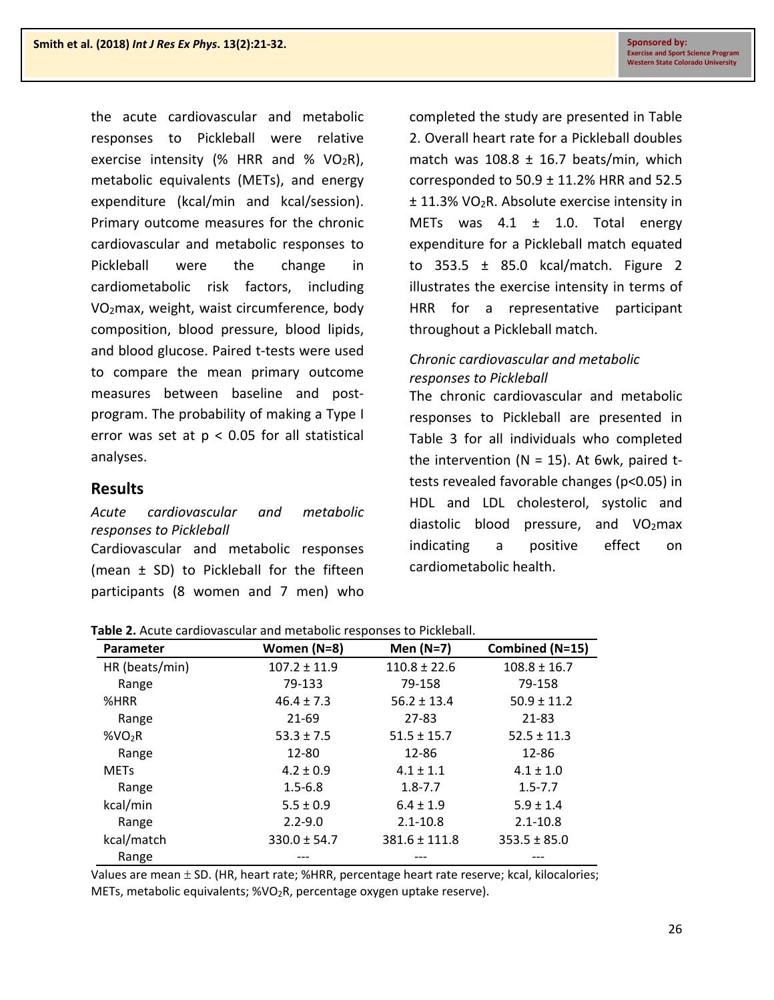the acute cardiovascular and metabolic responses to Pickleball were relative exercise intensity (% HRR and %  $VO<sub>2</sub>R$ ), metabolic equivalents (METs), and energy expenditure (kcal/min and kcal/session). Primary outcome measures for the chronic cardiovascular and metabolic responses to Pickleball were the change in cardiometabolic risk factors, including VO2max, weight, waist circumference, body composition, blood pressure, blood lipids, and blood glucose. Paired t-tests were used to compare the mean primary outcome measures between baseline and postprogram. The probability of making a Type I error was set at p < 0.05 for all statistical analyses.

## **Results**

*Acute cardiovascular and metabolic responses to Pickleball*

Cardiovascular and metabolic responses (mean ± SD) to Pickleball for the fifteen participants (8 women and 7 men) who

completed the study are presented in Table 2. Overall heart rate for a Pickleball doubles match was  $108.8 \pm 16.7$  beats/min, which corresponded to  $50.9 \pm 11.2\%$  HRR and  $52.5$  $± 11.3% VO<sub>2</sub>R. Absolute exercise intensity in$ METs was  $4.1 \pm 1.0$ . Total energy expenditure for a Pickleball match equated to  $353.5 \pm 85.0$  kcal/match. Figure 2 illustrates the exercise intensity in terms of HRR for a representative participant throughout a Pickleball match.

## *Chronic cardiovascular and metabolic responses to Pickleball*

The chronic cardiovascular and metabolic responses to Pickleball are presented in Table 3 for all individuals who completed the intervention ( $N = 15$ ). At 6wk, paired ttests revealed favorable changes (p<0.05) in HDL and LDL cholesterol, systolic and diastolic blood pressure, and  $VO<sub>2</sub>$ max indicating a positive effect on cardiometabolic health.

| <b>Parameter</b>   | Women (N=8)      | Men $(N=7)$       | Combined (N=15)  |
|--------------------|------------------|-------------------|------------------|
| HR (beats/min)     | $107.2 \pm 11.9$ | $110.8 \pm 22.6$  | $108.8 \pm 16.7$ |
| Range              | 79-133           | 79-158            | 79-158           |
| % HRR              | $46.4 \pm 7.3$   | $56.2 \pm 13.4$   | $50.9 \pm 11.2$  |
| Range              | 21-69            | 27-83             | 21-83            |
| %VO <sub>2</sub> R | $53.3 \pm 7.5$   | $51.5 \pm 15.7$   | $52.5 \pm 11.3$  |
| Range              | 12-80            | 12-86             | 12-86            |
| <b>METs</b>        | $4.2 \pm 0.9$    | $4.1 \pm 1.1$     | $4.1 \pm 1.0$    |
| Range              | $1.5 - 6.8$      | $1.8 - 7.7$       | $1.5 - 7.7$      |
| kcal/min           | $5.5 \pm 0.9$    | $6.4 \pm 1.9$     | $5.9 \pm 1.4$    |
| Range              | $2.2 - 9.0$      | $2.1 - 10.8$      | $2.1 - 10.8$     |
| kcal/match         | $330.0 \pm 54.7$ | $381.6 \pm 111.8$ | $353.5 \pm 85.0$ |
| Range              |                  |                   |                  |

Values are mean  $\pm$  SD. (HR, heart rate; %HRR, percentage heart rate reserve; kcal, kilocalories; METs, metabolic equivalents; %VO2R, percentage oxygen uptake reserve).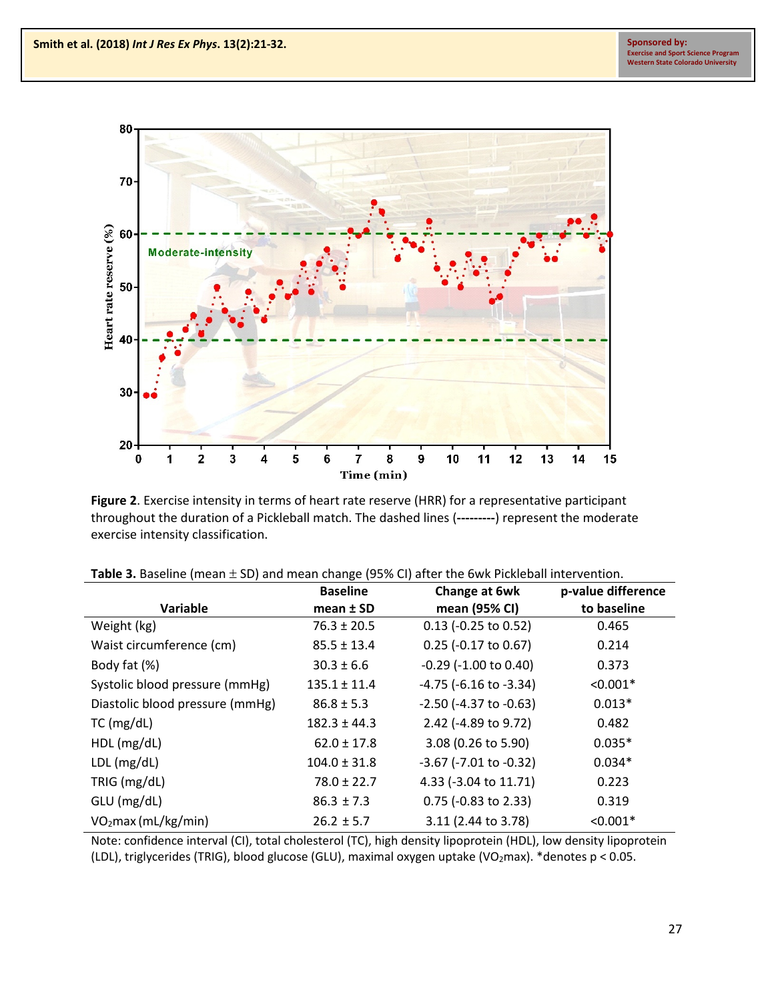![](_page_6_Figure_2.jpeg)

**Figure 2**. Exercise intensity in terms of heart rate reserve (HRR) for a representative participant throughout the duration of a Pickleball match. The dashed lines (**---------**) represent the moderate exercise intensity classification.

| Variable                        | <b>Baseline</b><br>mean $±$ SD | Change at 6wk<br>mean (95% CI) | p-value difference<br>to baseline |
|---------------------------------|--------------------------------|--------------------------------|-----------------------------------|
| Weight (kg)                     | $76.3 \pm 20.5$                | $0.13$ (-0.25 to 0.52)         | 0.465                             |
| Waist circumference (cm)        | $85.5 \pm 13.4$                | $0.25$ (-0.17 to 0.67)         | 0.214                             |
| Body fat (%)                    | $30.3 \pm 6.6$                 | $-0.29$ ( $-1.00$ to 0.40)     | 0.373                             |
| Systolic blood pressure (mmHg)  | $135.1 \pm 11.4$               | $-4.75$ ( $-6.16$ to $-3.34$ ) | $< 0.001*$                        |
| Diastolic blood pressure (mmHg) | $86.8 \pm 5.3$                 | $-2.50$ ( $-4.37$ to $-0.63$ ) | $0.013*$                          |
| $TC$ (mg/dL)                    | $182.3 \pm 44.3$               | 2.42 (-4.89 to 9.72)           | 0.482                             |
| HDL (mg/dL)                     | $62.0 \pm 17.8$                | 3.08 (0.26 to 5.90)            | $0.035*$                          |
| LDL (mg/dL)                     | $104.0 \pm 31.8$               | $-3.67$ ( $-7.01$ to $-0.32$ ) | $0.034*$                          |
| TRIG (mg/dL)                    | $78.0 \pm 22.7$                | 4.33 (-3.04 to 11.71)          | 0.223                             |
| GLU (mg/dL)                     | $86.3 \pm 7.3$                 | $0.75$ (-0.83 to 2.33)         | 0.319                             |
| VO <sub>2</sub> max(mL/kg/min)  | $26.2 \pm 5.7$                 | 3.11 (2.44 to 3.78)            | $< 0.001*$                        |

Note: confidence interval (CI), total cholesterol (TC), high density lipoprotein (HDL), low density lipoprotein (LDL), triglycerides (TRIG), blood glucose (GLU), maximal oxygen uptake (VO<sub>2</sub>max). \*denotes p < 0.05.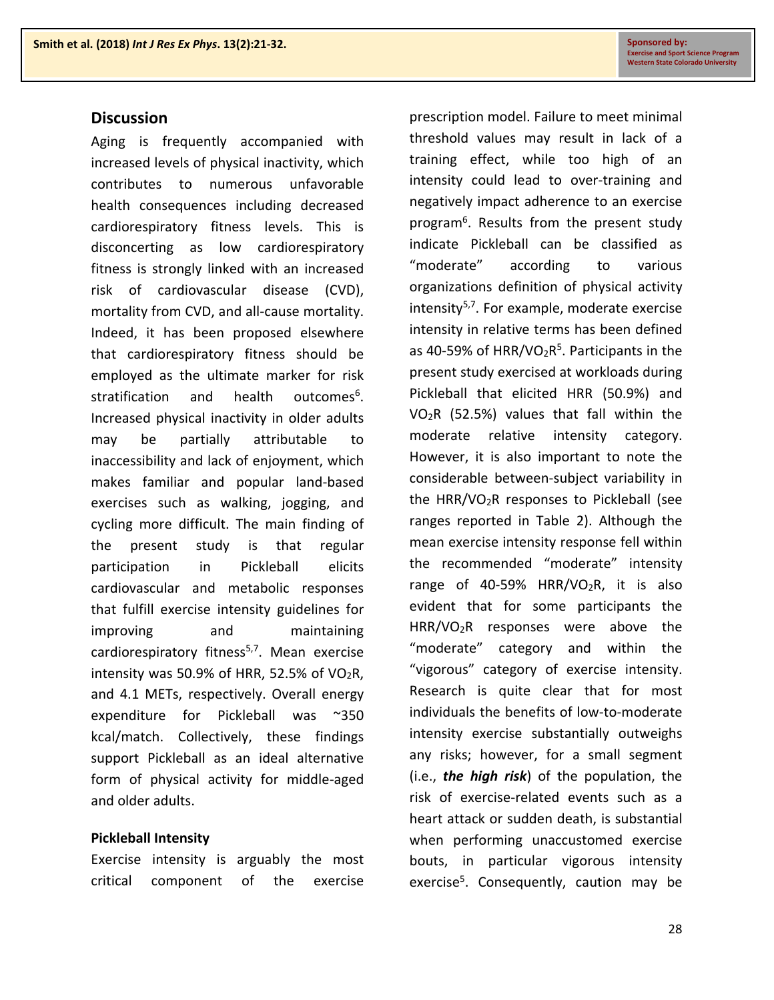### **Discussion**

Aging is frequently accompanied with increased levels of physical inactivity, which contributes to numerous unfavorable health consequences including decreased cardiorespiratory fitness levels. This is disconcerting as low cardiorespiratory fitness is strongly linked with an increased risk of cardiovascular disease (CVD), mortality from CVD, and all-cause mortality. Indeed, it has been proposed elsewhere that cardiorespiratory fitness should be employed as the ultimate marker for risk stratification and health outcomes<sup>6</sup>. Increased physical inactivity in older adults may be partially attributable to inaccessibility and lack of enjoyment, which makes familiar and popular land-based exercises such as walking, jogging, and cycling more difficult. The main finding of the present study is that regular participation in Pickleball elicits cardiovascular and metabolic responses that fulfill exercise intensity guidelines for improving and maintaining cardiorespiratory fitness<sup>5,7</sup>. Mean exercise intensity was 50.9% of HRR, 52.5% of  $VO<sub>2</sub>R$ , and 4.1 METs, respectively. Overall energy expenditure for Pickleball was ~350 kcal/match. Collectively, these findings support Pickleball as an ideal alternative form of physical activity for middle-aged and older adults.

#### **Pickleball Intensity**

Exercise intensity is arguably the most critical component of the exercise

prescription model. Failure to meet minimal threshold values may result in lack of a training effect, while too high of an intensity could lead to over-training and negatively impact adherence to an exercise program6. Results from the present study indicate Pickleball can be classified as "moderate" according to various organizations definition of physical activity intensity<sup>5,7</sup>. For example, moderate exercise intensity in relative terms has been defined as 40-59% of HRR/VO<sub>2</sub>R<sup>5</sup>. Participants in the present study exercised at workloads during Pickleball that elicited HRR (50.9%) and  $VO<sub>2</sub>R$  (52.5%) values that fall within the moderate relative intensity category. However, it is also important to note the considerable between-subject variability in the HRR/VO2R responses to Pickleball (see ranges reported in Table 2). Although the mean exercise intensity response fell within the recommended "moderate" intensity range of 40-59% HRR/VO<sub>2</sub>R, it is also evident that for some participants the HRR/VO2R responses were above the "moderate" category and within the "vigorous" category of exercise intensity. Research is quite clear that for most individuals the benefits of low-to-moderate intensity exercise substantially outweighs any risks; however, for a small segment (i.e., *the high risk*) of the population, the risk of exercise-related events such as a heart attack or sudden death, is substantial when performing unaccustomed exercise bouts, in particular vigorous intensity exercise<sup>5</sup>. Consequently, caution may be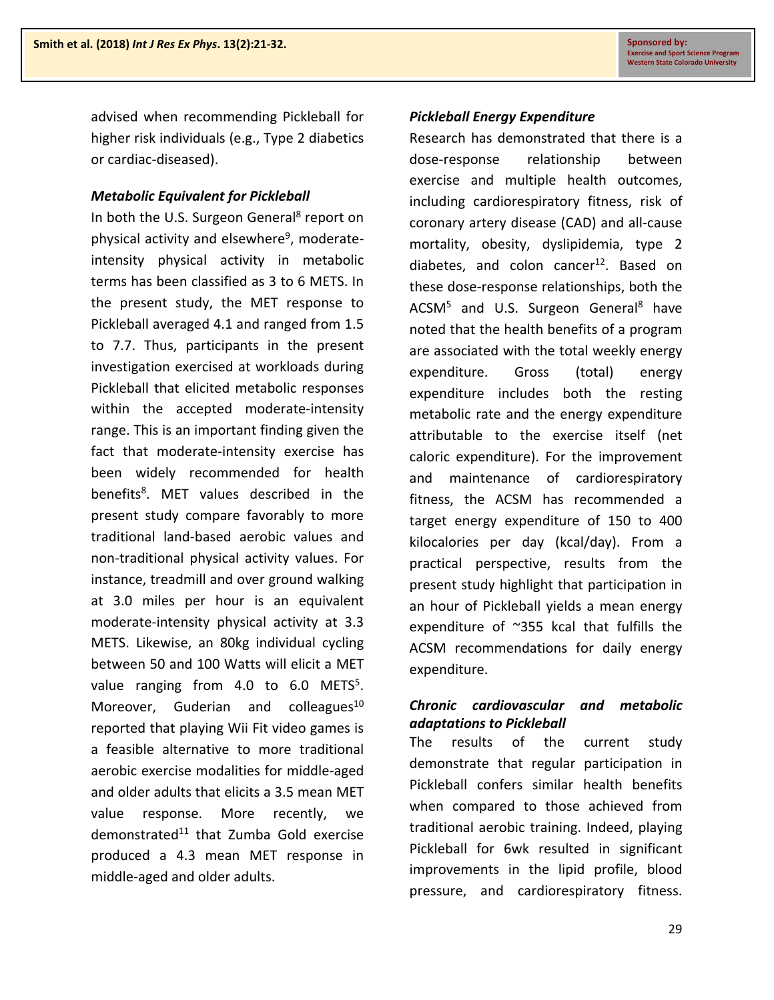advised when recommending Pickleball for higher risk individuals (e.g., Type 2 diabetics or cardiac-diseased).

## *Metabolic Equivalent for Pickleball*

In both the U.S. Surgeon General<sup>8</sup> report on physical activity and elsewhere<sup>9</sup>, moderateintensity physical activity in metabolic terms has been classified as 3 to 6 METS. In the present study, the MET response to Pickleball averaged 4.1 and ranged from 1.5 to 7.7. Thus, participants in the present investigation exercised at workloads during Pickleball that elicited metabolic responses within the accepted moderate-intensity range. This is an important finding given the fact that moderate-intensity exercise has been widely recommended for health benefits<sup>8</sup>. MET values described in the present study compare favorably to more traditional land-based aerobic values and non-traditional physical activity values. For instance, treadmill and over ground walking at 3.0 miles per hour is an equivalent moderate-intensity physical activity at 3.3 METS. Likewise, an 80kg individual cycling between 50 and 100 Watts will elicit a MET value ranging from 4.0 to 6.0 METS<sup>5</sup>. Moreover, Guderian and colleagues $^{10}$ reported that playing Wii Fit video games is a feasible alternative to more traditional aerobic exercise modalities for middle-aged and older adults that elicits a 3.5 mean MET value response. More recently, we demonstrated $11$  that Zumba Gold exercise produced a 4.3 mean MET response in middle-aged and older adults.

## *Pickleball Energy Expenditure*

Research has demonstrated that there is a dose-response relationship between exercise and multiple health outcomes, including cardiorespiratory fitness, risk of coronary artery disease (CAD) and all-cause mortality, obesity, dyslipidemia, type 2 diabetes, and colon cancer $12$ . Based on these dose-response relationships, both the  $ACSM<sup>5</sup>$  and U.S. Surgeon General<sup>8</sup> have noted that the health benefits of a program are associated with the total weekly energy expenditure. Gross (total) energy expenditure includes both the resting metabolic rate and the energy expenditure attributable to the exercise itself (net caloric expenditure). For the improvement and maintenance of cardiorespiratory fitness, the ACSM has recommended a target energy expenditure of 150 to 400 kilocalories per day (kcal/day). From a practical perspective, results from the present study highlight that participation in an hour of Pickleball yields a mean energy expenditure of ~355 kcal that fulfills the ACSM recommendations for daily energy expenditure.

## *Chronic cardiovascular and metabolic adaptations to Pickleball*

The results of the current study demonstrate that regular participation in Pickleball confers similar health benefits when compared to those achieved from traditional aerobic training. Indeed, playing Pickleball for 6wk resulted in significant improvements in the lipid profile, blood pressure, and cardiorespiratory fitness.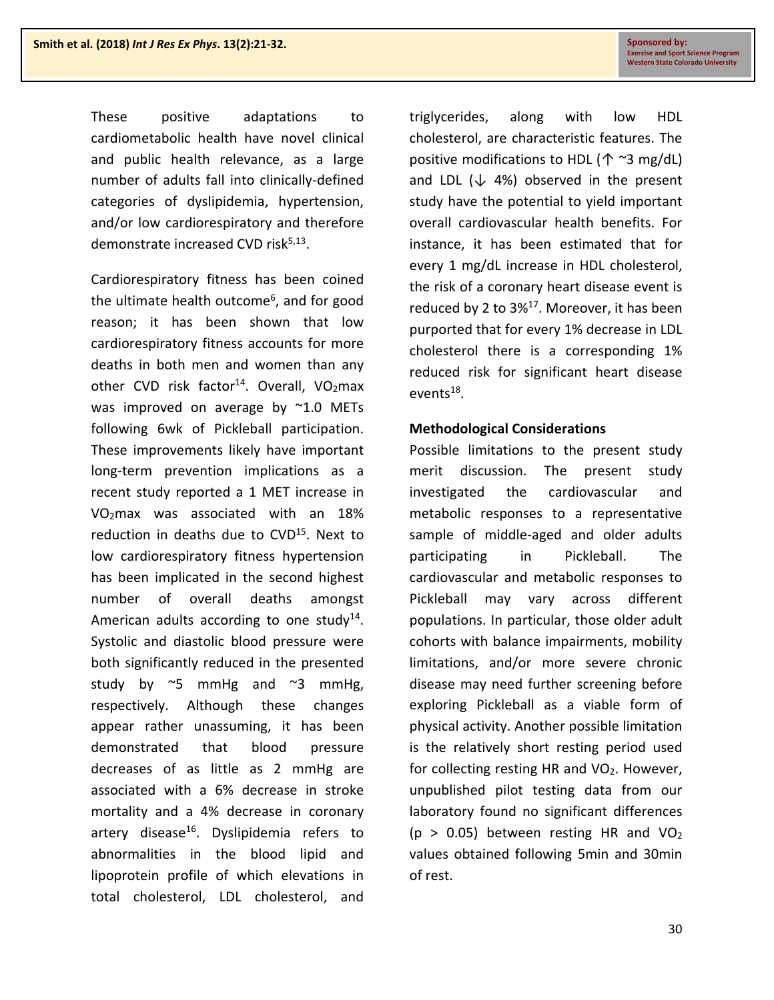These positive adaptations to cardiometabolic health have novel clinical and public health relevance, as a large number of adults fall into clinically-defined categories of dyslipidemia, hypertension, and/or low cardiorespiratory and therefore demonstrate increased CVD risk $5,13$ .

Cardiorespiratory fitness has been coined the ultimate health outcome $6$ , and for good reason; it has been shown that low cardiorespiratory fitness accounts for more deaths in both men and women than any other CVD risk factor<sup>14</sup>. Overall, VO<sub>2</sub>max was improved on average by ~1.0 METs following 6wk of Pickleball participation. These improvements likely have important long-term prevention implications as a recent study reported a 1 MET increase in VO2max was associated with an 18% reduction in deaths due to  $CVD^{15}$ . Next to low cardiorespiratory fitness hypertension has been implicated in the second highest number of overall deaths amongst American adults according to one study<sup>14</sup>. Systolic and diastolic blood pressure were both significantly reduced in the presented study by  $\approx$ 5 mmHg and  $\approx$ 3 mmHg, respectively. Although these changes appear rather unassuming, it has been demonstrated that blood pressure decreases of as little as 2 mmHg are associated with a 6% decrease in stroke mortality and a 4% decrease in coronary artery disease<sup>16</sup>. Dyslipidemia refers to abnormalities in the blood lipid and lipoprotein profile of which elevations in total cholesterol, LDL cholesterol, and

triglycerides, along with low HDL cholesterol, are characteristic features. The positive modifications to HDL ( $\uparrow$  ~3 mg/dL) and LDL ( $\sqrt{4\%}$ ) observed in the present study have the potential to yield important overall cardiovascular health benefits. For instance, it has been estimated that for every 1 mg/dL increase in HDL cholesterol, the risk of a coronary heart disease event is reduced by 2 to  $3\frac{1}{2}$ . Moreover, it has been purported that for every 1% decrease in LDL cholesterol there is a corresponding 1% reduced risk for significant heart disease events $18$ .

#### **Methodological Considerations**

Possible limitations to the present study merit discussion. The present study investigated the cardiovascular and metabolic responses to a representative sample of middle-aged and older adults participating in Pickleball. The cardiovascular and metabolic responses to Pickleball may vary across different populations. In particular, those older adult cohorts with balance impairments, mobility limitations, and/or more severe chronic disease may need further screening before exploring Pickleball as a viable form of physical activity. Another possible limitation is the relatively short resting period used for collecting resting HR and  $VO<sub>2</sub>$ . However, unpublished pilot testing data from our laboratory found no significant differences ( $p > 0.05$ ) between resting HR and VO<sub>2</sub> values obtained following 5min and 30min of rest.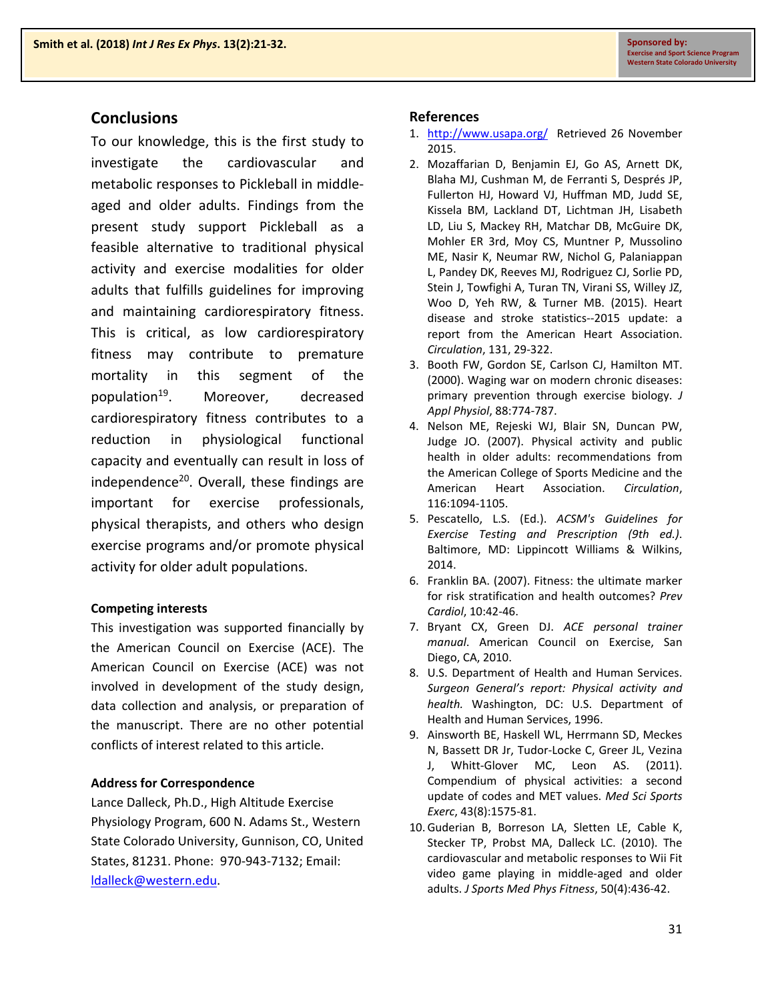## **Conclusions**

To our knowledge, this is the first study to investigate the cardiovascular and metabolic responses to Pickleball in middleaged and older adults. Findings from the present study support Pickleball as a feasible alternative to traditional physical activity and exercise modalities for older adults that fulfills guidelines for improving and maintaining cardiorespiratory fitness. This is critical, as low cardiorespiratory fitness may contribute to premature mortality in this segment of the population<sup>19</sup>. Moreover, decreased cardiorespiratory fitness contributes to a reduction in physiological functional capacity and eventually can result in loss of independence<sup>20</sup>. Overall, these findings are important for exercise professionals, physical therapists, and others who design exercise programs and/or promote physical activity for older adult populations.

#### **Competing interests**

This investigation was supported financially by the American Council on Exercise (ACE). The American Council on Exercise (ACE) was not involved in development of the study design, data collection and analysis, or preparation of the manuscript. There are no other potential conflicts of interest related to this article.

#### **Address for Correspondence**

Lance Dalleck, Ph.D., High Altitude Exercise Physiology Program, 600 N. Adams St., Western State Colorado University, Gunnison, CO, United States, 81231. Phone: 970-943-7132; Email: [ldalleck@western.edu.](mailto:ldalleck@western.edu)

#### **References**

- 1. <http://www.usapa.org/>Retrieved 26 November 2015.
- 2. Mozaffarian D, Benjamin EJ, Go AS, Arnett DK, Blaha MJ, Cushman M, de Ferranti S, Després JP, Fullerton HJ, Howard VJ, Huffman MD, Judd SE, Kissela BM, Lackland DT, Lichtman JH, Lisabeth LD, Liu S, Mackey RH, Matchar DB, McGuire DK, Mohler ER 3rd, Moy CS, Muntner P, Mussolino ME, Nasir K, Neumar RW, Nichol G, Palaniappan L, Pandey DK, Reeves MJ, Rodriguez CJ, Sorlie PD, Stein J, Towfighi A, Turan TN, Virani SS, Willey JZ, Woo D, Yeh RW, & Turner MB. (2015). Heart disease and stroke statistics--2015 update: a report from the American Heart Association. *Circulation*, 131, 29-322.
- 3. Booth FW, Gordon SE, Carlson CJ, Hamilton MT. (2000). Waging war on modern chronic diseases: primary prevention through exercise biology. *J Appl Physiol*, 88:774-787.
- 4. Nelson ME, Rejeski WJ, Blair SN, Duncan PW, Judge JO. (2007). Physical activity and public health in older adults: recommendations from the American College of Sports Medicine and the American Heart Association. *Circulation*, 116:1094-1105.
- 5. Pescatello, L.S. (Ed.). *ACSM's Guidelines for Exercise Testing and Prescription (9th ed.)*. Baltimore, MD: Lippincott Williams & Wilkins, 2014.
- 6. Franklin BA. (2007). Fitness: the ultimate marker for risk stratification and health outcomes? *Prev Cardiol*, 10:42-46.
- 7. Bryant CX, Green DJ. *ACE personal trainer manual*. American Council on Exercise, San Diego, CA, 2010.
- 8. U.S. Department of Health and Human Services. *Surgeon General's report: Physical activity and health.* Washington, DC: U.S. Department of Health and Human Services, 1996.
- 9. Ainsworth BE, Haskell WL, Herrmann SD, Meckes N, Bassett DR Jr, Tudor-Locke C, Greer JL, Vezina J, Whitt-Glover MC, Leon AS. (2011). Compendium of physical activities: a second update of codes and MET values. *Med Sci Sports Exerc*, 43(8):1575-81.
- 10.Guderian B, Borreson LA, Sletten LE, Cable K, Stecker TP, Probst MA, Dalleck LC. (2010). The cardiovascular and metabolic responses to Wii Fit video game playing in middle-aged and older adults. *J Sports Med Phys Fitness*, 50(4):436-42.